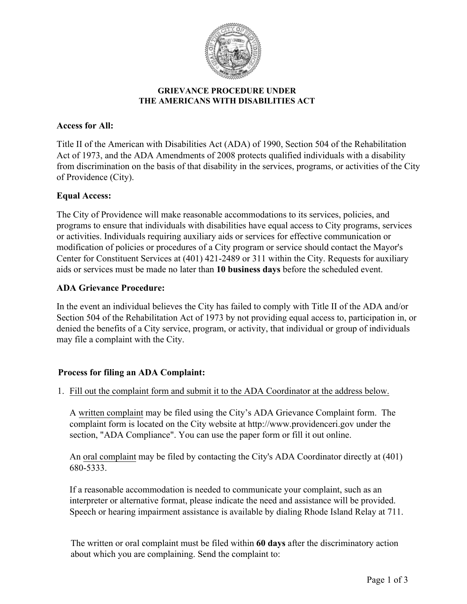

### **GRIEVANCE PROCEDURE UNDER THE AMERICANS WITH DISABILITIES ACT**

# **Access for All:**

Title II of the American with Disabilities Act (ADA) of 1990, Section 504 of the Rehabilitation Act of 1973, and the ADA Amendments of 2008 protects qualified individuals with a disability from discrimination on the basis of that disability in the services, programs, or activities of the City of Providence (City).

# **Equal Access:**

The City of Providence will make reasonable accommodations to its services, policies, and programs to ensure that individuals with disabilities have equal access to City programs, services or activities. Individuals requiring auxiliary aids or services for effective communication or modification of policies or procedures of a City program or service should contact the Mayor's Center for Constituent Services at (401) 421-2489 or 311 within the City. Requests for auxiliary aids or services must be made no later than **10 business days** before the scheduled event.

# **ADA Grievance Procedure:**

In the event an individual believes the City has failed to comply with Title II of the ADA and/or Section 504 of the Rehabilitation Act of 1973 by not providing equal access to, participation in, or denied the benefits of a City service, program, or activity, that individual or group of individuals may file a complaint with the City.

# **Process for filing an ADA Complaint:**

1. Fill out the complaint form and submit it to the ADA Coordinator at the address below.

A written complaint may be filed using the City's ADA Grievance Complaint form. The complaint form is located on the City website at http://www.providenceri.gov under the section, "ADA Compliance". You can use the paper form or fill it out online.

An oral complaint may be filed by contacting the City's ADA Coordinator directly at (401) 680-5333.

If a reasonable accommodation is needed to communicate your complaint, such as an interpreter or alternative format, please indicate the need and assistance will be provided. Speech or hearing impairment assistance is available by dialing Rhode Island Relay at 711.

The written or oral complaint must be filed within **60 days** after the discriminatory action about which you are complaining. Send the complaint to: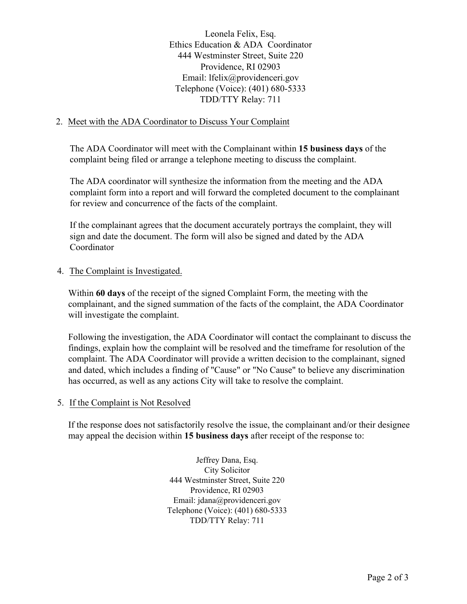Leonela Felix, Esq. Ethics Education & ADA Coordinator 444 Westminster Street, Suite 220 Providence, RI 02903 Email: lfelix@providenceri.gov Telephone (Voice): (401) 680-5333 TDD/TTY Relay: 711

### 2. Meet with the ADA Coordinator to Discuss Your Complaint

The ADA Coordinator will meet with the Complainant within **15 business days** of the complaint being filed or arrange a telephone meeting to discuss the complaint.

The ADA coordinator will synthesize the information from the meeting and the ADA complaint form into a report and will forward the completed document to the complainant for review and concurrence of the facts of the complaint.

If the complainant agrees that the document accurately portrays the complaint, they will sign and date the document. The form will also be signed and dated by the ADA Coordinator

#### 4. The Complaint is Investigated.

Within **60 days** of the receipt of the signed Complaint Form, the meeting with the complainant, and the signed summation of the facts of the complaint, the ADA Coordinator will investigate the complaint.

Following the investigation, the ADA Coordinator will contact the complainant to discuss the findings, explain how the complaint will be resolved and the timeframe for resolution of the complaint. The ADA Coordinator will provide a written decision to the complainant, signed and dated, which includes a finding of "Cause" or "No Cause" to believe any discrimination has occurred, as well as any actions City will take to resolve the complaint.

#### 5. If the Complaint is Not Resolved

If the response does not satisfactorily resolve the issue, the complainant and/or their designee may appeal the decision within **15 business days** after receipt of the response to:

> Jeffrey Dana, Esq. City Solicitor 444 Westminster Street, Suite 220 Providence, RI 02903 Email: jdana@providenceri.gov Telephone (Voice): (401) 680-5333 TDD/TTY Relay: 711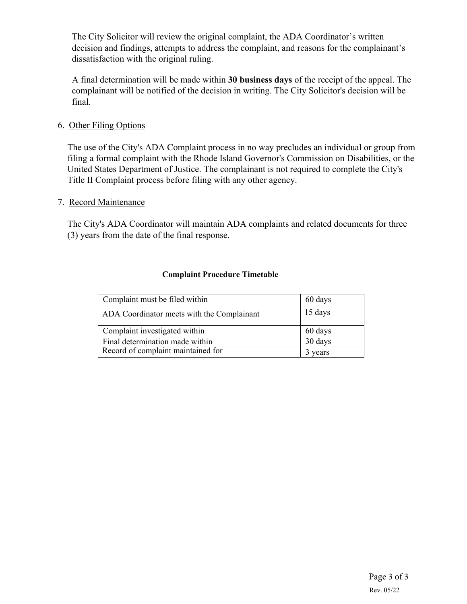The City Solicitor will review the original complaint, the ADA Coordinator's written decision and findings, attempts to address the complaint, and reasons for the complainant's dissatisfaction with the original ruling.

A final determination will be made within **30 business days** of the receipt of the appeal. The complainant will be notified of the decision in writing. The City Solicitor's decision will be final.

### 6. Other Filing Options

The use of the City's ADA Complaint process in no way precludes an individual or group from filing a formal complaint with the Rhode Island Governor's Commission on Disabilities, or the United States Department of Justice. The complainant is not required to complete the City's Title II Complaint process before filing with any other agency.

#### 7. Record Maintenance

The City's ADA Coordinator will maintain ADA complaints and related documents for three (3) years from the date of the final response.

### **Complaint Procedure Timetable**

| Complaint must be filed within             | 60 days |
|--------------------------------------------|---------|
| ADA Coordinator meets with the Complainant | 15 days |
| Complaint investigated within              | 60 days |
| Final determination made within            | 30 days |
| Record of complaint maintained for         | years   |